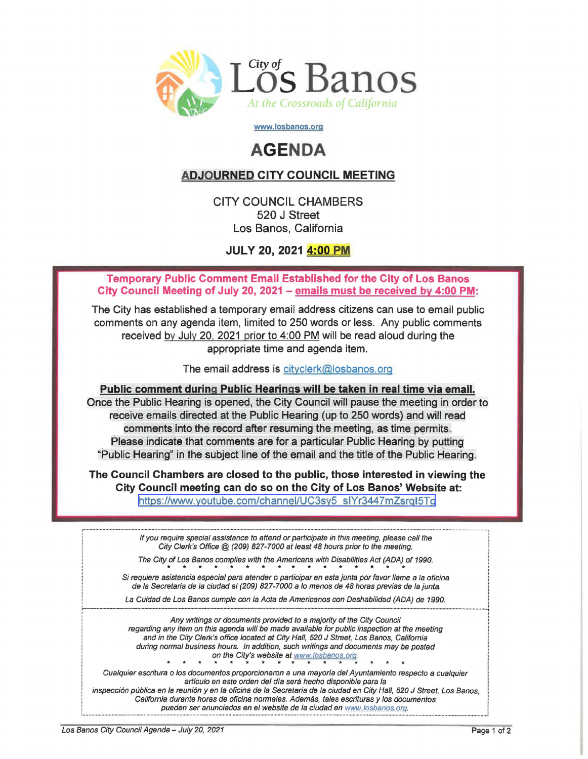

www.losbanos.org

## **AGENDA**

## ADJOURNED CITY COUNCIL MEETING

CITY COUNCIL CHAMBERS 520 J Street Los Banos, California

JULY 20, 2021 4:00 PM

Temporary Public Comment Email Established for the City of Los Banos City Council Meeting of July 20, 2021 - emails must be received by 4:00 PM:

The City has established a temporary email address citizens can use to email public comments on any agenda item, limited to 250 words or less. Any public comments received by July 20. 2021 prior to 4:00 PM will be read aloud during the appropriate time and agenda item.

The email address is cityclerk@losbanos.org

Public comment during Public Hearings will be taken in real time via email. Once the Public Hearing is opened, the City Council will pause the meeting in order to receive emails directed at the Public Hearing (up to 250 words) and will read comments into the record after resuming the meeting, as time permits. Please indicate that comments are for a particular Public Hearing by putting "Public Hearing" in the subject line of the email and the title of the Public Hearing.

The Council Chambers are closed to the public, those interested in viewing the City Council meeting can do so on the City of Los Banos' Website at: [https:l/www.youtube.com/channel/UC3sy5](https://www.youtube.com/channel/UC3sy5_sIYr3447mZsrqI5Tg) slYr3447mZsrql5Tg

r··························..·························· : If you require special assistance to attend or participate in this meeting, please call the City Clerk's Office @ (209) 827-7000 at least 48 hours prior to the meeting. The City of Los Banos complies with the Americans with Disabilities Act (ADA) of 1990. Si requiere asistencia especial para atender o participar en esta junta por favor llame a la oficina de la Secretaria de la ciudad al (209) 827-7000 a <sup>10</sup> menos de 48 horas previas de lajunta. La Cuidad de Los Banos cumple con la Acta de Americanos con Deshabilidad (ADA) de 1990. ••••\_ ••••••••••••••••\_ •••••••••••••••••••••••••••••••n ••\_ ••••••••\_ ••••••••\_\_••······\_········\_·\_········\_·••••••••••••••••••••••\_\_••••\_ ••••••••••••••••••\_ \_ ••••••\_ ••\_ ••••••••••••••••••••••••••••••• \_ ••\_ \_ •••••••• \_ •• \_ ••••••\_ •••• Any writings or documents provided to a majority of the City Council regarding any item on this agenda will be made available for public inspection at the meeting and in the City Clerk's office located at City Hall, 520 J Street, Los Banos, California during normal business hours. In addition, such writings and documents may be posted<br>
on the City's website at www.losbanos.org.<br>
Cualquier escritura o los documentos proporcionaron a una mayoría del Ayuntamiento respecto on the City's website at www.losbanos.org. artículo en este orden del día será hecho disponible para la inspección pública en la reunión y en la oficina de la Secretaria de la ciudad en City Hall, 520 J Street, Los Banos, California durante horas de oficina normales. Además, tales escrituras y los documentos pueden ser anunciados en el website de la ciudad en www.losbanos.org.